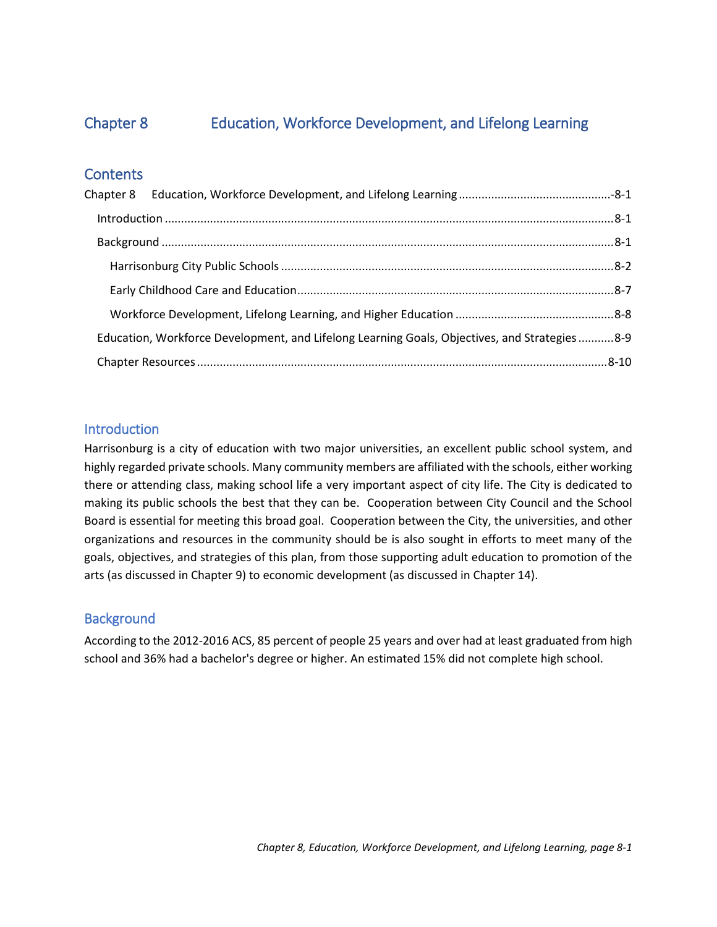# Chapter 8.

# **Education, Workforce Development, and Lifelong Learning**







YOUR CITY. YOUR PLAN.

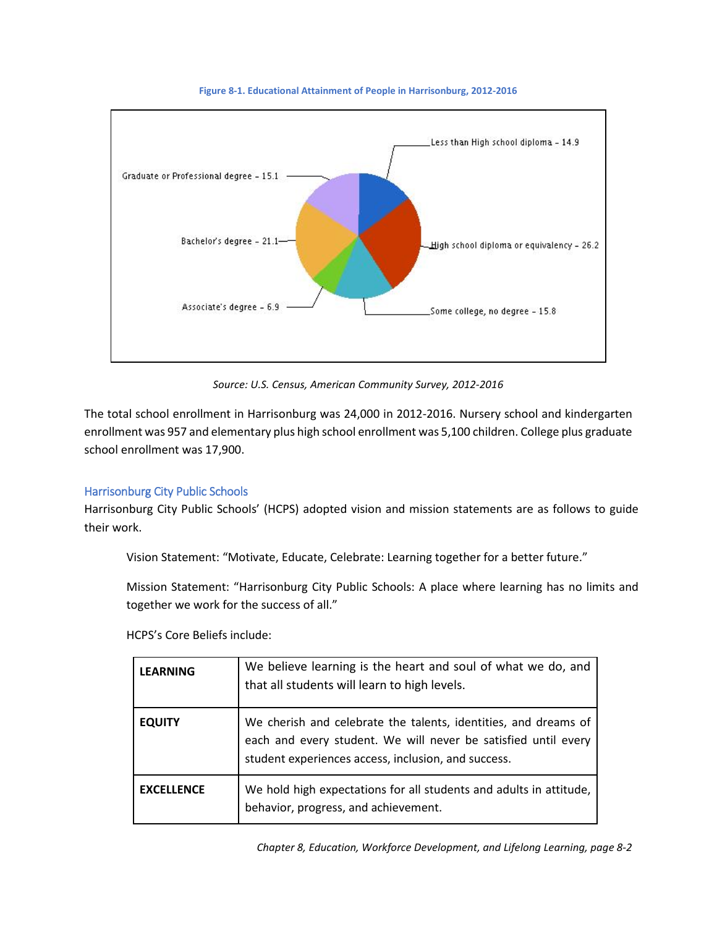# <span id="page-1-0"></span>Chapter 8 Education, Workforce Development, and Lifelong Learning

# **Contents**

| Education, Workforce Development, and Lifelong Learning Goals, Objectives, and Strategies 8-9 |  |
|-----------------------------------------------------------------------------------------------|--|
|                                                                                               |  |

# <span id="page-1-1"></span>**Introduction**

Harrisonburg is a city of education with two major universities, an excellent public school system, and highly regarded private schools. Many community members are affiliated with the schools, either working there or attending class, making school life a very important aspect of city life. The City is dedicated to making its public schools the best that they can be. Cooperation between City Council and the School Board is essential for meeting this broad goal. Cooperation between the City, the universities, and other organizations and resources in the community should be is also sought in efforts to meet many of the goals, objectives, and strategies of this plan, from those supporting adult education to promotion of the arts (as discussed in Chapter 9) to economic development (as discussed in Chapter 14).

# <span id="page-1-2"></span>**Background**

According to the 2012-2016 ACS, 85 percent of people 25 years and over had at least graduated from high school and 36% had a bachelor's degree or higher. An estimated 15% did not complete high school.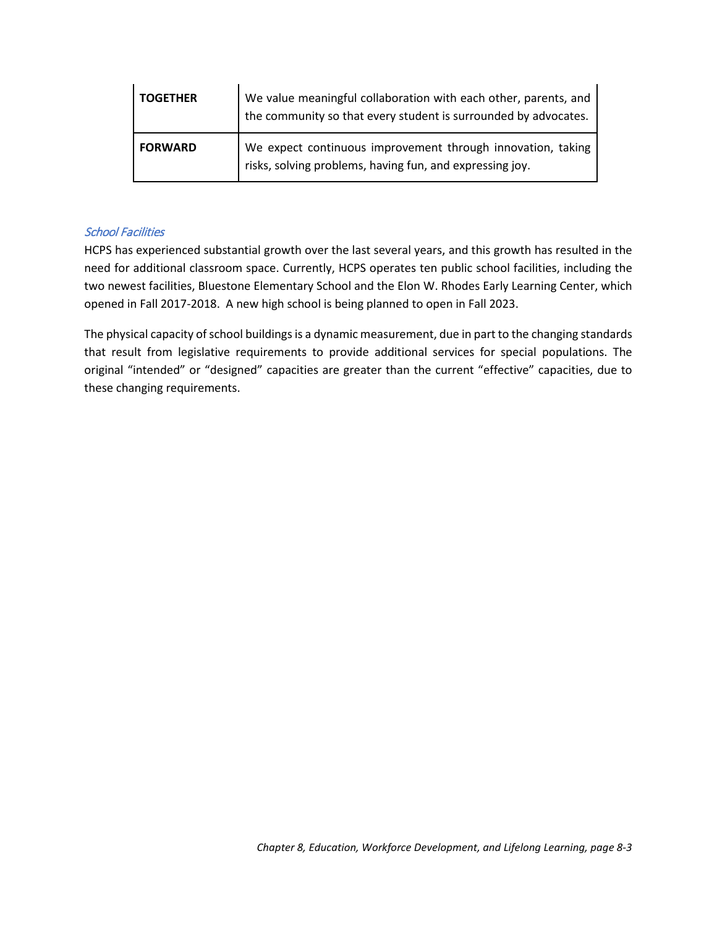

**Figure 8-1. Educational Attainment of People in Harrisonburg, 2012-2016**

*Source: U.S. Census, American Community Survey, 2012-2016*

The total school enrollment in Harrisonburg was 24,000 in 2012-2016. Nursery school and kindergarten enrollment was 957 and elementary plus high school enrollment was 5,100 children. College plus graduate school enrollment was 17,900.

## <span id="page-2-0"></span>Harrisonburg City Public Schools

Harrisonburg City Public Schools' (HCPS) adopted vision and mission statements are as follows to guide their work.

Vision Statement: "Motivate, Educate, Celebrate: Learning together for a better future."

Mission Statement: "Harrisonburg City Public Schools: A place where learning has no limits and together we work for the success of all."

HCPS's Core Beliefs include:

| <b>LEARNING</b>   | We believe learning is the heart and soul of what we do, and<br>that all students will learn to high levels.                                                                             |
|-------------------|------------------------------------------------------------------------------------------------------------------------------------------------------------------------------------------|
| <b>EQUITY</b>     | We cherish and celebrate the talents, identities, and dreams of<br>each and every student. We will never be satisfied until every<br>student experiences access, inclusion, and success. |
| <b>EXCELLENCE</b> | We hold high expectations for all students and adults in attitude,<br>behavior, progress, and achievement.                                                                               |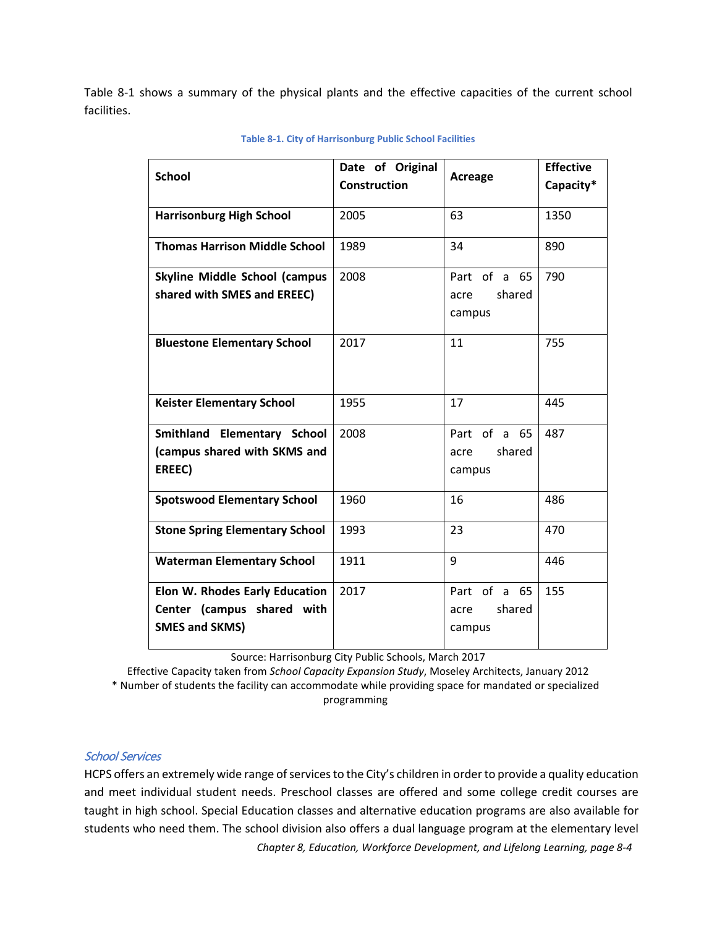| <b>TOGETHER</b> | We value meaningful collaboration with each other, parents, and<br>the community so that every student is surrounded by advocates. |
|-----------------|------------------------------------------------------------------------------------------------------------------------------------|
| <b>FORWARD</b>  | We expect continuous improvement through innovation, taking<br>risks, solving problems, having fun, and expressing joy.            |

#### School Facilities

HCPS has experienced substantial growth over the last several years, and this growth has resulted in the need for additional classroom space. Currently, HCPS operates ten public school facilities, including the two newest facilities, Bluestone Elementary School and the Elon W. Rhodes Early Learning Center, which opened in Fall 2017-2018. A new high school is being planned to open in Fall 2023.

The physical capacity of school buildings is a dynamic measurement, due in part to the changing standards that result from legislative requirements to provide additional services for special populations. The original "intended" or "designed" capacities are greater than the current "effective" capacities, due to these changing requirements.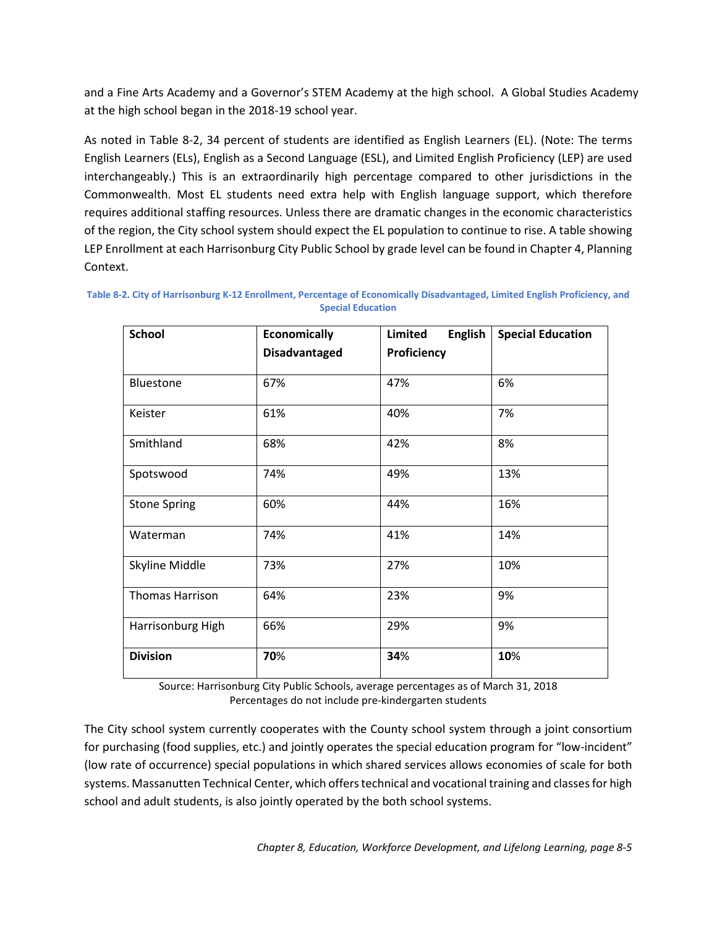<span id="page-4-0"></span>[Table 8-1](#page-4-0) shows a summary of the physical plants and the effective capacities of the current school facilities.

| <b>School</b>                          | Date of Original<br><b>Construction</b> | <b>Acreage</b>           | <b>Effective</b><br>Capacity* |
|----------------------------------------|-----------------------------------------|--------------------------|-------------------------------|
| <b>Harrisonburg High School</b>        | 2005                                    | 63                       | 1350                          |
| <b>Thomas Harrison Middle School</b>   | 1989                                    | 34                       | 890                           |
| <b>Skyline Middle School (campus</b>   | 2008                                    | Part of a 65             | 790                           |
| shared with SMES and EREEC)            |                                         | shared<br>acre<br>campus |                               |
|                                        |                                         |                          |                               |
| <b>Bluestone Elementary School</b>     | 2017                                    | 11                       | 755                           |
| <b>Keister Elementary School</b>       | 1955                                    | 17                       | 445                           |
| Smithland Elementary School            | 2008                                    | Part of a 65             | 487                           |
| (campus shared with SKMS and<br>EREEC) |                                         | shared<br>acre<br>campus |                               |
| <b>Spotswood Elementary School</b>     | 1960                                    | 16                       | 486                           |
| <b>Stone Spring Elementary School</b>  | 1993                                    | 23                       | 470                           |
| <b>Waterman Elementary School</b>      | 1911                                    | 9                        | 446                           |
| Elon W. Rhodes Early Education         | 2017                                    | Part of a<br>65          | 155                           |
| Center (campus shared with             |                                         | shared<br>acre           |                               |
| <b>SMES and SKMS)</b>                  |                                         | campus                   |                               |

#### **Table 8-1. City of Harrisonburg Public School Facilities**

Source: Harrisonburg City Public Schools, March 2017

Effective Capacity taken from *School Capacity Expansion Study*, Moseley Architects, January 2012 \* Number of students the facility can accommodate while providing space for mandated or specialized programming

#### School Services

HCPS offers an extremely wide range of services to the City's children in order to provide a quality education and meet individual student needs. Preschool classes are offered and some college credit courses are taught in high school. Special Education classes and alternative education programs are also available for students who need them. The school division also offers a dual language program at the elementary level

*Chapter 8, Education, Workforce Development, and Lifelong Learning, page 8-4*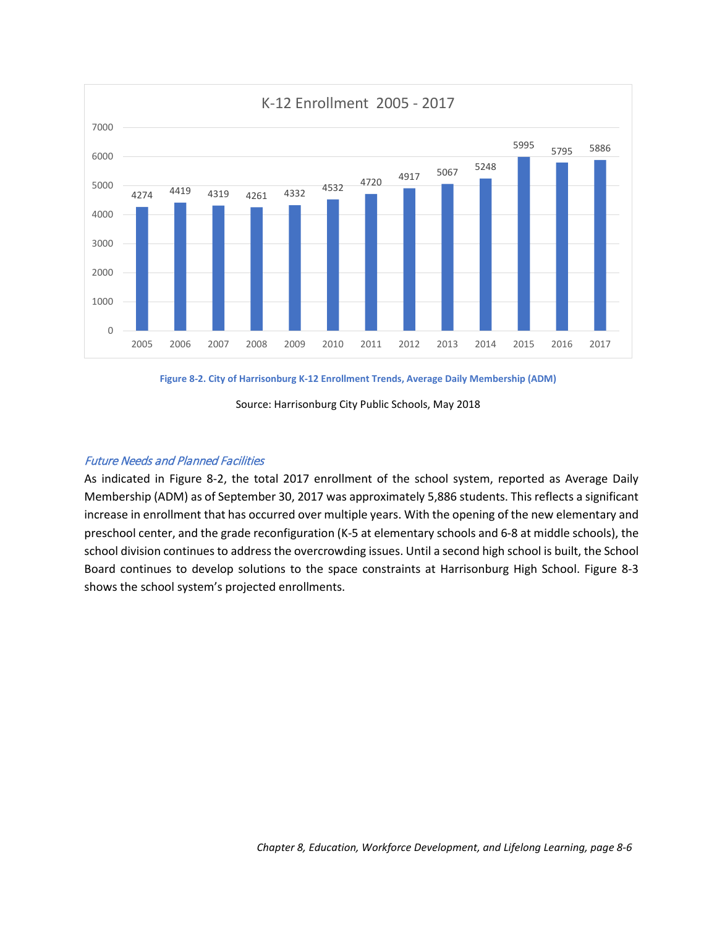and a Fine Arts Academy and a Governor's STEM Academy at the high school. A Global Studies Academy at the high school began in the 2018-19 school year.

As noted in [Table](#page-5-0) 8-2, 34 percent of students are identified as English Learners (EL). (Note: The terms English Learners (ELs), English as a Second Language (ESL), and Limited English Proficiency (LEP) are used interchangeably.) This is an extraordinarily high percentage compared to other jurisdictions in the Commonwealth. Most EL students need extra help with English language support, which therefore requires additional staffing resources. Unless there are dramatic changes in the economic characteristics of the region, the City school system should expect the EL population to continue to rise. A table showing LEP Enrollment at each Harrisonburg City Public School by grade level can be found in Chapter 4, Planning Context.

| <b>School</b>          | <b>Economically</b>  | <b>Limited</b><br><b>English</b> | <b>Special Education</b> |
|------------------------|----------------------|----------------------------------|--------------------------|
|                        | <b>Disadvantaged</b> | Proficiency                      |                          |
| Bluestone              | 67%                  | 47%                              | 6%                       |
| Keister                | 61%                  | 40%                              | 7%                       |
| Smithland              | 68%                  | 42%                              | 8%                       |
| Spotswood              | 74%                  | 49%                              | 13%                      |
| <b>Stone Spring</b>    | 60%                  | 44%                              | 16%                      |
| Waterman               | 74%                  | 41%                              | 14%                      |
| Skyline Middle         | 73%                  | 27%                              | 10%                      |
| <b>Thomas Harrison</b> | 64%                  | 23%                              | 9%                       |
| Harrisonburg High      | 66%                  | 29%                              | 9%                       |
| <b>Division</b>        | 70%                  | 34%                              | 10%                      |

<span id="page-5-0"></span>**Table 8-2. City of Harrisonburg K-12 Enrollment, Percentage of Economically Disadvantaged, Limited English Proficiency, and Special Education**

> Source: Harrisonburg City Public Schools, average percentages as of March 31, 2018 Percentages do not include pre-kindergarten students

The City school system currently cooperates with the County school system through a joint consortium for purchasing (food supplies, etc.) and jointly operates the special education program for "low-incident" (low rate of occurrence) special populations in which shared services allows economies of scale for both systems. Massanutten Technical Center, which offers technical and vocational training and classes for high school and adult students, is also jointly operated by the both school systems.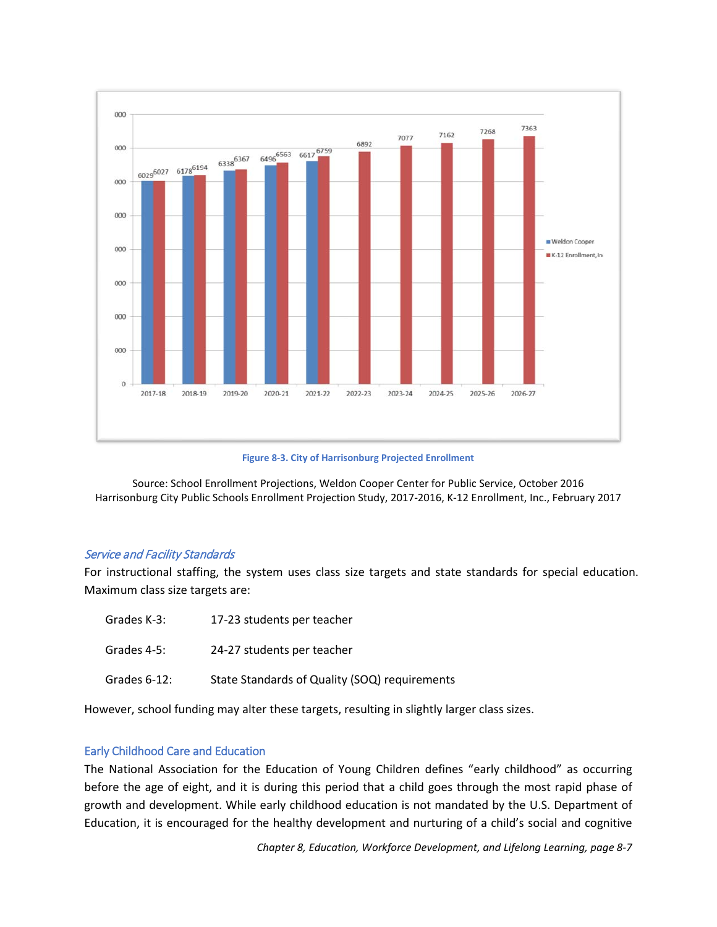

<span id="page-6-0"></span>**Figure 8-2. City of Harrisonburg K-12 Enrollment Trends, Average Daily Membership (ADM)**

Source: Harrisonburg City Public Schools, May 2018

#### Future Needs and Planned Facilities

As indicated in [Figure 8-2,](#page-6-0) the total 2017 enrollment of the school system, reported as Average Daily Membership (ADM) as of September 30, 2017 was approximately 5,886 students. This reflects a significant increase in enrollment that has occurred over multiple years. With the opening of the new elementary and preschool center, and the grade reconfiguration (K-5 at elementary schools and 6-8 at middle schools), the school division continues to address the overcrowding issues. Until a second high school is built, the School Board continues to develop solutions to the space constraints at Harrisonburg High School. [Figure 8-3](#page-7-1) shows the school system's projected enrollments.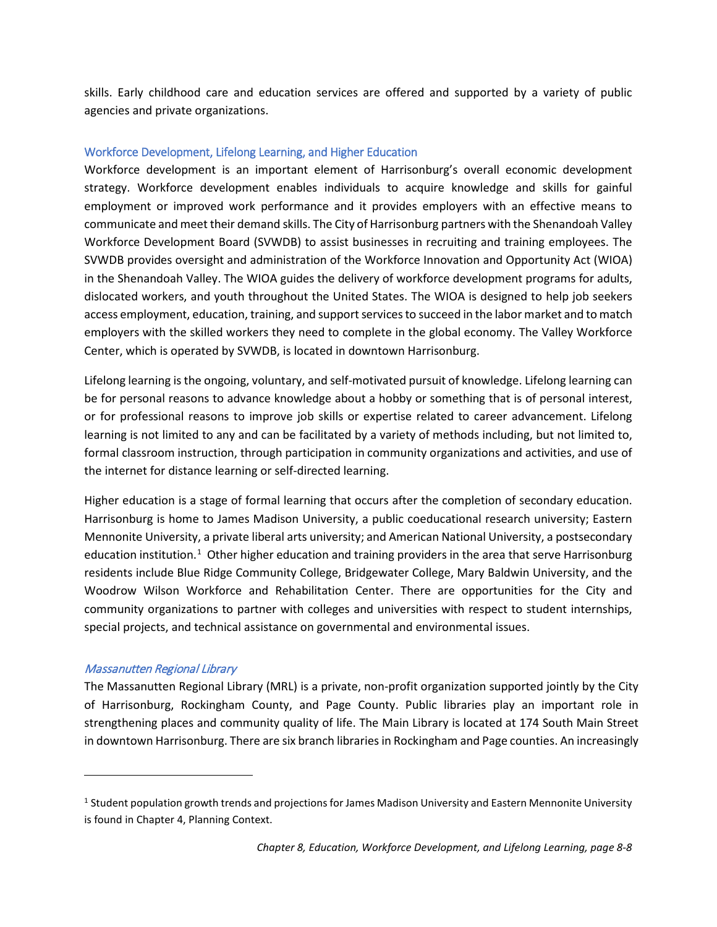



<span id="page-7-1"></span>Source: School Enrollment Projections, Weldon Cooper Center for Public Service, October 2016 Harrisonburg City Public Schools Enrollment Projection Study, 2017-2016, K-12 Enrollment, Inc., February 2017

#### Service and Facility Standards

For instructional staffing, the system uses class size targets and state standards for special education. Maximum class size targets are:

| Grades K-3:     | 17-23 students per teacher                    |
|-----------------|-----------------------------------------------|
| Grades 4-5:     | 24-27 students per teacher                    |
| Grades $6-12$ : | State Standards of Quality (SOQ) requirements |

However, school funding may alter these targets, resulting in slightly larger class sizes.

#### <span id="page-7-0"></span>Early Childhood Care and Education

The National Association for the Education of Young Children defines "early childhood" as occurring before the age of eight, and it is during this period that a child goes through the most rapid phase of growth and development. While early childhood education is not mandated by the U.S. Department of Education, it is encouraged for the healthy development and nurturing of a child's social and cognitive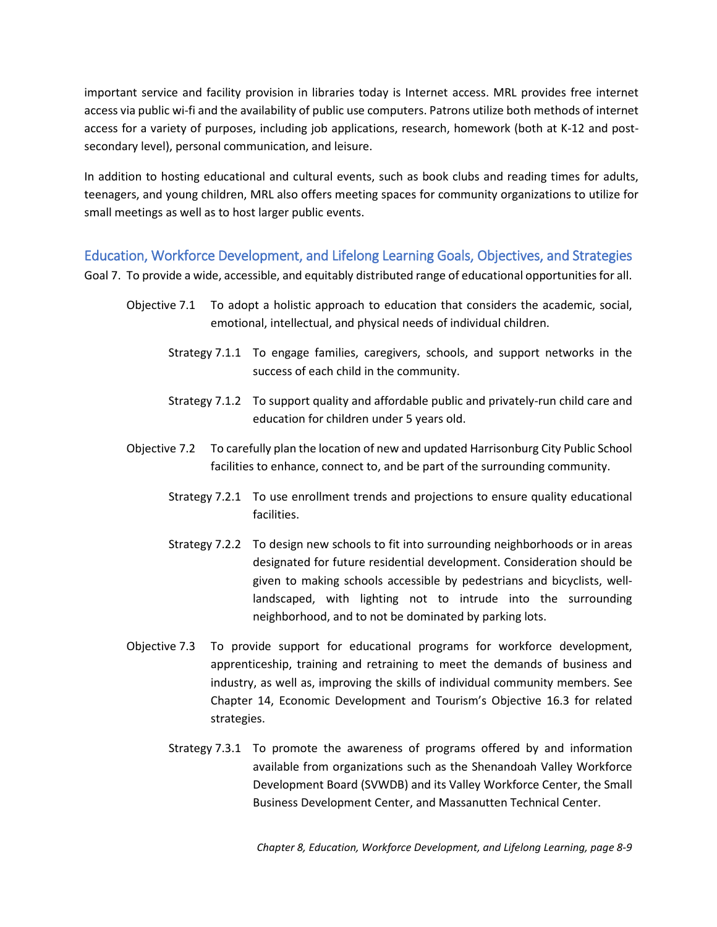skills. Early childhood care and education services are offered and supported by a variety of public agencies and private organizations.

#### <span id="page-8-0"></span>Workforce Development, Lifelong Learning, and Higher Education

Workforce development is an important element of Harrisonburg's overall economic development strategy. Workforce development enables individuals to acquire knowledge and skills for gainful employment or improved work performance and it provides employers with an effective means to communicate and meet their demand skills. The City of Harrisonburg partners with the Shenandoah Valley Workforce Development Board (SVWDB) to assist businesses in recruiting and training employees. The SVWDB provides oversight and administration of the Workforce Innovation and Opportunity Act (WIOA) in the Shenandoah Valley. The WIOA guides the delivery of workforce development programs for adults, dislocated workers, and youth throughout the United States. The WIOA is designed to help job seekers access employment, education, training, and support services to succeed in the labor market and to match employers with the skilled workers they need to complete in the global economy. The Valley Workforce Center, which is operated by SVWDB, is located in downtown Harrisonburg.

Lifelong learning is the ongoing, voluntary, and self-motivated pursuit of knowledge. Lifelong learning can be for personal reasons to advance knowledge about a hobby or something that is of personal interest, or for professional reasons to improve job skills or expertise related to career advancement. Lifelong learning is not limited to any and can be facilitated by a variety of methods including, but not limited to, formal classroom instruction, through participation in community organizations and activities, and use of the internet for distance learning or self-directed learning.

Higher education is a stage of formal learning that occurs after the completion of secondary education. Harrisonburg is home to James Madison University, a public coeducational research university; Eastern Mennonite University, a private liberal arts university; and American National University, a postsecondary education institution.<sup>1</sup> Other higher education and training providers in the area that serve Harrisonburg residents include Blue Ridge Community College, Bridgewater College, Mary Baldwin University, and the Woodrow Wilson Workforce and Rehabilitation Center. There are opportunities for the City and community organizations to partner with colleges and universities with respect to student internships, special projects, and technical assistance on governmental and environmental issues.

#### Massanutten Regional Library

 $\overline{\phantom{a}}$ 

The Massanutten Regional Library (MRL) is a private, non-profit organization supported jointly by the City of Harrisonburg, Rockingham County, and Page County. Public libraries play an important role in strengthening places and community quality of life. The Main Library is located at 174 South Main Street in downtown Harrisonburg. There are six branch libraries in Rockingham and Page counties. An increasingly

<span id="page-8-1"></span><sup>&</sup>lt;sup>1</sup> Student population growth trends and projections for James Madison University and Eastern Mennonite University is found in Chapter 4, Planning Context.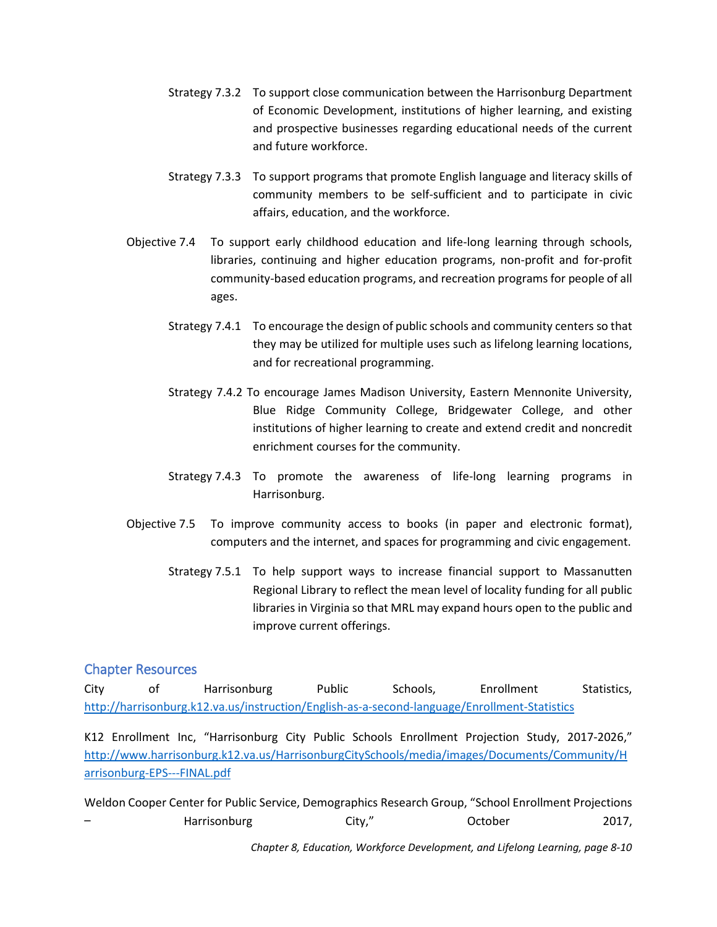important service and facility provision in libraries today is Internet access. MRL provides free internet access via public wi-fi and the availability of public use computers. Patrons utilize both methods of internet access for a variety of purposes, including job applications, research, homework (both at K-12 and postsecondary level), personal communication, and leisure.

In addition to hosting educational and cultural events, such as book clubs and reading times for adults, teenagers, and young children, MRL also offers meeting spaces for community organizations to utilize for small meetings as well as to host larger public events.

<span id="page-9-0"></span>Education, Workforce Development, and Lifelong Learning Goals, Objectives, and Strategies

Goal 7. To provide a wide, accessible, and equitably distributed range of educational opportunities for all.

- Objective 7.1 To adopt a holistic approach to education that considers the academic, social, emotional, intellectual, and physical needs of individual children.
	- Strategy 7.1.1 To engage families, caregivers, schools, and support networks in the success of each child in the community.
	- Strategy 7.1.2 To support quality and affordable public and privately-run child care and education for children under 5 years old.
- Objective 7.2 To carefully plan the location of new and updated Harrisonburg City Public School facilities to enhance, connect to, and be part of the surrounding community.
	- Strategy 7.2.1 To use enrollment trends and projections to ensure quality educational facilities.
	- Strategy 7.2.2 To design new schools to fit into surrounding neighborhoods or in areas designated for future residential development. Consideration should be given to making schools accessible by pedestrians and bicyclists, welllandscaped, with lighting not to intrude into the surrounding neighborhood, and to not be dominated by parking lots.
- Objective 7.3 To provide support for educational programs for workforce development, apprenticeship, training and retraining to meet the demands of business and industry, as well as, improving the skills of individual community members. See Chapter 14, Economic Development and Tourism's Objective 16.3 for related strategies.
	- Strategy 7.3.1 To promote the awareness of programs offered by and information available from organizations such as the Shenandoah Valley Workforce Development Board (SVWDB) and its Valley Workforce Center, the Small Business Development Center, and Massanutten Technical Center.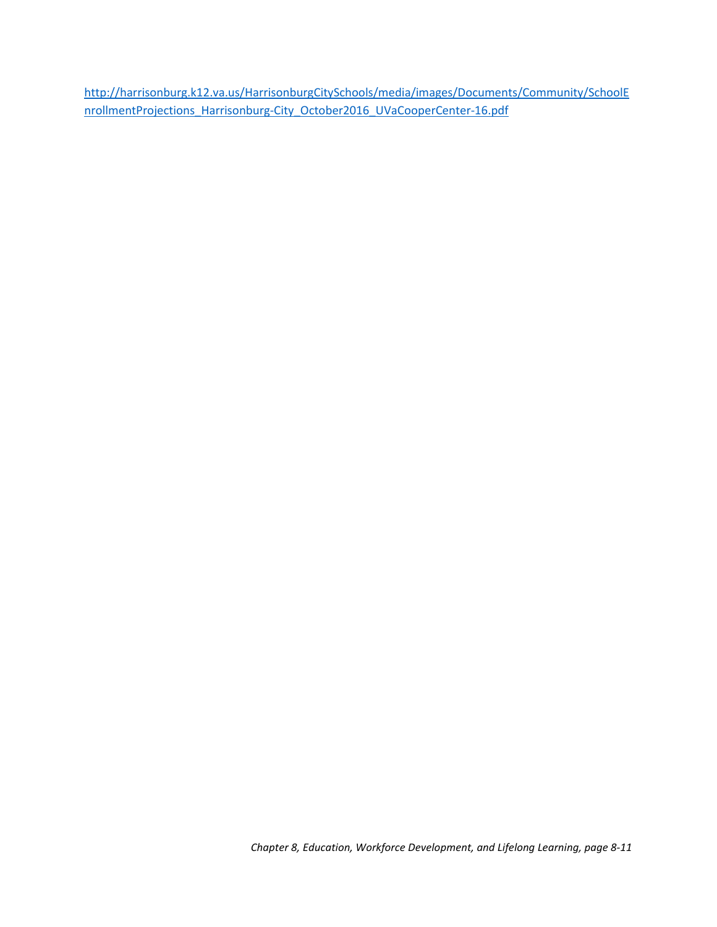- Strategy 7.3.2 To support close communication between the Harrisonburg Department of Economic Development, institutions of higher learning, and existing and prospective businesses regarding educational needs of the current and future workforce.
- Strategy 7.3.3 To support programs that promote English language and literacy skills of community members to be self-sufficient and to participate in civic affairs, education, and the workforce.
- Objective 7.4 To support early childhood education and life-long learning through schools, libraries, continuing and higher education programs, non-profit and for-profit community-based education programs, and recreation programs for people of all ages.
	- Strategy 7.4.1 To encourage the design of public schools and community centers so that they may be utilized for multiple uses such as lifelong learning locations, and for recreational programming.
	- Strategy 7.4.2 To encourage James Madison University, Eastern Mennonite University, Blue Ridge Community College, Bridgewater College, and other institutions of higher learning to create and extend credit and noncredit enrichment courses for the community.
	- Strategy 7.4.3 To promote the awareness of life-long learning programs in Harrisonburg.
- Objective 7.5 To improve community access to books (in paper and electronic format), computers and the internet, and spaces for programming and civic engagement.
	- Strategy 7.5.1 To help support ways to increase financial support to Massanutten Regional Library to reflect the mean level of locality funding for all public libraries in Virginia so that MRL may expand hours open to the public and improve current offerings.

## <span id="page-10-0"></span>Chapter Resources

City of Harrisonburg Public Schools, Enrollment Statistics, <http://harrisonburg.k12.va.us/instruction/English-as-a-second-language/Enrollment-Statistics>

K12 Enrollment Inc, "Harrisonburg City Public Schools Enrollment Projection Study, 2017-2026," [http://www.harrisonburg.k12.va.us/HarrisonburgCitySchools/media/images/Documents/Community/H](http://www.harrisonburg.k12.va.us/HarrisonburgCitySchools/media/images/Documents/Community/Harrisonburg-EPS---FINAL.pdf) [arrisonburg-EPS---FINAL.pdf](http://www.harrisonburg.k12.va.us/HarrisonburgCitySchools/media/images/Documents/Community/Harrisonburg-EPS---FINAL.pdf)

Weldon Cooper Center for Public Service, Demographics Research Group, "School Enrollment Projections – Harrisonburg City," October 2017,